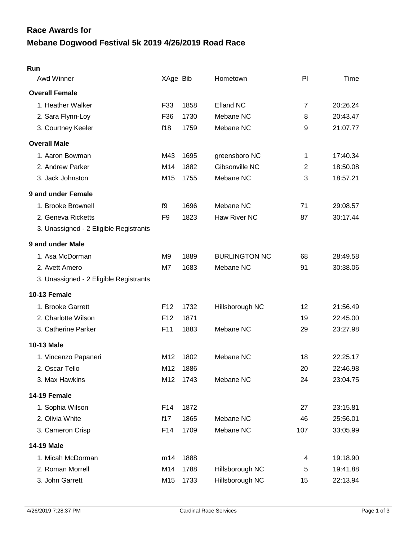# **Mebane Dogwood Festival 5k 2019 4/26/2019 Road Race Race Awards for**

| Awd Winner                             | XAge Bib        |          | Hometown             | PI             | Time     |
|----------------------------------------|-----------------|----------|----------------------|----------------|----------|
| <b>Overall Female</b>                  |                 |          |                      |                |          |
| 1. Heather Walker                      | F33             | 1858     | <b>Efland NC</b>     | $\overline{7}$ | 20:26.24 |
| 2. Sara Flynn-Loy                      | F36             | 1730     | Mebane NC            | 8              | 20:43.47 |
| 3. Courtney Keeler                     | f18             | 1759     | Mebane NC            | 9              | 21:07.77 |
| <b>Overall Male</b>                    |                 |          |                      |                |          |
| 1. Aaron Bowman                        | M43             | 1695     | greensboro NC        | 1              | 17:40.34 |
| 2. Andrew Parker                       | M14             | 1882     | Gibsonville NC       | $\overline{2}$ | 18:50.08 |
| 3. Jack Johnston                       | M15             | 1755     | Mebane NC            | 3              | 18:57.21 |
| 9 and under Female                     |                 |          |                      |                |          |
| 1. Brooke Brownell                     | f9              | 1696     | Mebane NC            | 71             | 29:08.57 |
| 2. Geneva Ricketts                     | F <sub>9</sub>  | 1823     | Haw River NC         | 87             | 30:17.44 |
| 3. Unassigned - 2 Eligible Registrants |                 |          |                      |                |          |
| 9 and under Male                       |                 |          |                      |                |          |
| 1. Asa McDorman                        | M <sub>9</sub>  | 1889     | <b>BURLINGTON NC</b> | 68             | 28:49.58 |
| 2. Avett Amero                         | M7              | 1683     | Mebane NC            | 91             | 30:38.06 |
| 3. Unassigned - 2 Eligible Registrants |                 |          |                      |                |          |
| <b>10-13 Female</b>                    |                 |          |                      |                |          |
| 1. Brooke Garrett                      | F <sub>12</sub> | 1732     | Hillsborough NC      | 12             | 21:56.49 |
| 2. Charlotte Wilson                    | F <sub>12</sub> | 1871     |                      | 19             | 22:45.00 |
| 3. Catherine Parker                    | F11             | 1883     | Mebane NC            | 29             | 23:27.98 |
| 10-13 Male                             |                 |          |                      |                |          |
| 1. Vincenzo Papaneri                   | M12             | 1802     | Mebane NC            | 18             | 22:25.17 |
| 2. Oscar Tello                         | M12             | 1886     |                      | 20             | 22:46.98 |
| 3. Max Hawkins                         |                 | M12 1743 | Mebane NC            | 24             | 23:04.75 |
| 14-19 Female                           |                 |          |                      |                |          |
| 1. Sophia Wilson                       | F <sub>14</sub> | 1872     |                      | 27             | 23:15.81 |
| 2. Olivia White                        | f17             | 1865     | Mebane NC            | 46             | 25:56.01 |
| 3. Cameron Crisp                       | F14             | 1709     | Mebane NC            | 107            | 33:05.99 |
| <b>14-19 Male</b>                      |                 |          |                      |                |          |
| 1. Micah McDorman                      | m14             | 1888     |                      | 4              | 19:18.90 |
| 2. Roman Morrell                       | M14             | 1788     | Hillsborough NC      | 5              | 19:41.88 |
| 3. John Garrett                        | M15             | 1733     | Hillsborough NC      | 15             | 22:13.94 |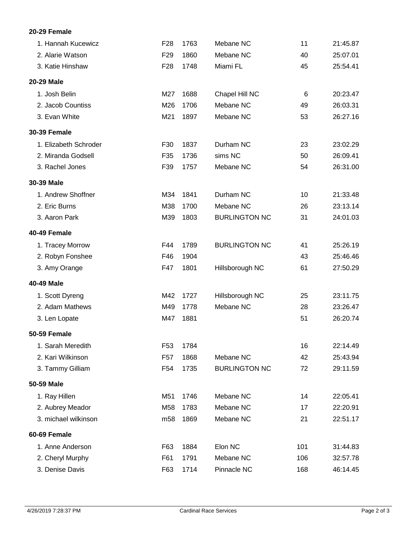## **20-29 Female**

| 1. Hannah Kucewicz    | F <sub>28</sub> | 1763 | Mebane NC            | 11  | 21:45.87 |
|-----------------------|-----------------|------|----------------------|-----|----------|
| 2. Alarie Watson      | F <sub>29</sub> | 1860 | Mebane NC            | 40  | 25:07.01 |
| 3. Katie Hinshaw      | F <sub>28</sub> | 1748 | Miami FL             | 45  | 25:54.41 |
| 20-29 Male            |                 |      |                      |     |          |
| 1. Josh Belin         | M27             | 1688 | Chapel Hill NC       | 6   | 20:23.47 |
| 2. Jacob Countiss     | M26             | 1706 | Mebane NC            | 49  | 26:03.31 |
| 3. Evan White         | M21             | 1897 | Mebane NC            | 53  | 26:27.16 |
| <b>30-39 Female</b>   |                 |      |                      |     |          |
| 1. Elizabeth Schroder | F30             | 1837 | Durham NC            | 23  | 23:02.29 |
| 2. Miranda Godsell    | F35             | 1736 | sims NC              | 50  | 26:09.41 |
| 3. Rachel Jones       | F39             | 1757 | Mebane NC            | 54  | 26:31.00 |
| 30-39 Male            |                 |      |                      |     |          |
| 1. Andrew Shoffner    | M34             | 1841 | Durham NC            | 10  | 21:33.48 |
| 2. Eric Burns         | M38             | 1700 | Mebane NC            | 26  | 23:13.14 |
| 3. Aaron Park         | M39             | 1803 | <b>BURLINGTON NC</b> | 31  | 24:01.03 |
| 40-49 Female          |                 |      |                      |     |          |
| 1. Tracey Morrow      | F44             | 1789 | <b>BURLINGTON NC</b> | 41  | 25:26.19 |
| 2. Robyn Fonshee      | F46             | 1904 |                      | 43  | 25:46.46 |
| 3. Amy Orange         | F47             | 1801 | Hillsborough NC      | 61  | 27:50.29 |
| 40-49 Male            |                 |      |                      |     |          |
| 1. Scott Dyreng       | M42             | 1727 | Hillsborough NC      | 25  | 23:11.75 |
| 2. Adam Mathews       | M49             | 1778 | Mebane NC            | 28  | 23:26.47 |
| 3. Len Lopate         | M47             | 1881 |                      | 51  | 26:20.74 |
| 50-59 Female          |                 |      |                      |     |          |
| 1. Sarah Meredith     | F53             | 1784 |                      | 16  | 22:14.49 |
| 2. Kari Wilkinson     | F <sub>57</sub> | 1868 | Mebane NC            | 42  | 25:43.94 |
| 3. Tammy Gilliam      | F <sub>54</sub> | 1735 | <b>BURLINGTON NC</b> | 72  | 29:11.59 |
| 50-59 Male            |                 |      |                      |     |          |
| 1. Ray Hillen         | M51             | 1746 | Mebane NC            | 14  | 22:05.41 |
| 2. Aubrey Meador      | M58             | 1783 | Mebane NC            | 17  | 22:20.91 |
| 3. michael wilkinson  | m <sub>58</sub> | 1869 | Mebane NC            | 21  | 22:51.17 |
| 60-69 Female          |                 |      |                      |     |          |
| 1. Anne Anderson      | F63             | 1884 | Elon NC              | 101 | 31:44.83 |
| 2. Cheryl Murphy      | F61             | 1791 | Mebane NC            | 106 | 32:57.78 |
| 3. Denise Davis       | F63             | 1714 | Pinnacle NC          | 168 | 46:14.45 |